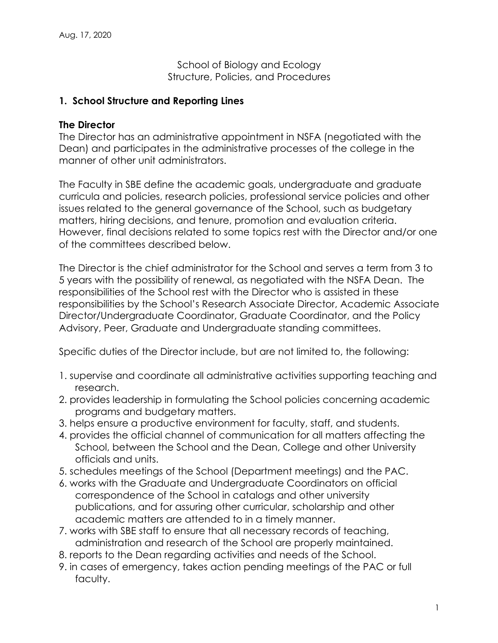School of Biology and Ecology Structure, Policies, and Procedures

#### **1. School Structure and Reporting Lines**

#### **The Director**

The Director has an administrative appointment in NSFA (negotiated with the Dean) and participates in the administrative processes of the college in the manner of other unit administrators.

The Faculty in SBE define the academic goals, undergraduate and graduate curricula and policies, research policies, professional service policies and other issues related to the general governance of the School, such as budgetary matters, hiring decisions, and tenure, promotion and evaluation criteria. However, final decisions related to some topics rest with the Director and/or one of the committees described below.

The Director is the chief administrator for the School and serves a term from 3 to 5 years with the possibility of renewal, as negotiated with the NSFA Dean. The responsibilities of the School rest with the Director who is assisted in these responsibilities by the School's Research Associate Director, Academic Associate Director/Undergraduate Coordinator, Graduate Coordinator, and the Policy Advisory, Peer, Graduate and Undergraduate standing committees.

Specific duties of the Director include, but are not limited to, the following:

- 1. supervise and coordinate all administrative activities supporting teaching and research.
- 2. provides leadership in formulating the School policies concerning academic programs and budgetary matters.
- 3. helps ensure a productive environment for faculty, staff, and students.
- 4. provides the official channel of communication for all matters affecting the School, between the School and the Dean, College and other University officials and units.
- 5. schedules meetings of the School (Department meetings) and the PAC.
- 6. works with the Graduate and Undergraduate Coordinators on official correspondence of the School in catalogs and other university publications, and for assuring other curricular, scholarship and other academic matters are attended to in a timely manner.
- 7. works with SBE staff to ensure that all necessary records of teaching, administration and research of the School are properly maintained.
- 8. reports to the Dean regarding activities and needs of the School.
- 9. in cases of emergency, takes action pending meetings of the PAC or full faculty.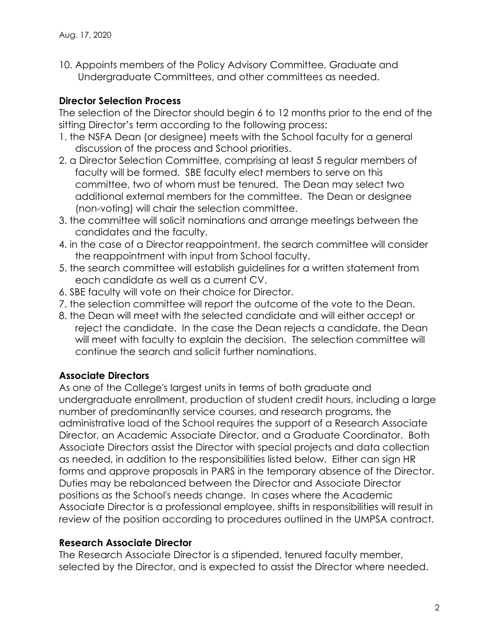10. Appoints members of the Policy Advisory Committee, Graduate and Undergraduate Committees, and other committees as needed.

### **Director Selection Process**

The selection of the Director should begin 6 to 12 months prior to the end of the sitting Director's term according to the following process:

- 1. the NSFA Dean (or designee) meets with the School faculty for a general discussion of the process and School priorities.
- 2. a Director Selection Committee, comprising at least 5 regular members of faculty will be formed. SBE faculty elect members to serve on this committee, two of whom must be tenured. The Dean may select two additional external members for the committee. The Dean or designee (non-voting) will chair the selection committee.
- 3. the committee will solicit nominations and arrange meetings between the candidates and the faculty.
- 4. in the case of a Director reappointment, the search committee will consider the reappointment with input from School faculty.
- 5. the search committee will establish guidelines for a written statement from each candidate as well as a current CV.
- 6. SBE faculty will vote on their choice for Director.
- 7. the selection committee will report the outcome of the vote to the Dean.
- 8. the Dean will meet with the selected candidate and will either accept or reject the candidate. In the case the Dean rejects a candidate, the Dean will meet with faculty to explain the decision. The selection committee will continue the search and solicit further nominations.

# **Associate Directors**

As one of the College's largest units in terms of both graduate and undergraduate enrollment, production of student credit hours, including a large number of predominantly service courses, and research programs, the administrative load of the School requires the support of a Research Associate Director, an Academic Associate Director, and a Graduate Coordinator. Both Associate Directors assist the Director with special projects and data collection as needed, in addition to the responsibilities listed below. Either can sign HR forms and approve proposals in PARS in the temporary absence of the Director. Duties may be rebalanced between the Director and Associate Director positions as the School's needs change. In cases where the Academic Associate Director is a professional employee, shifts in responsibilities will result in review of the position according to procedures outlined in the UMPSA contract.

### **Research Associate Director**

The Research Associate Director is a stipended, tenured faculty member, selected by the Director, and is expected to assist the Director where needed.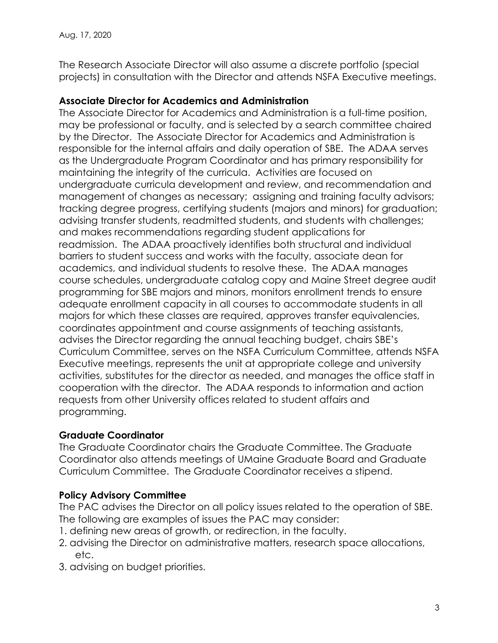The Research Associate Director will also assume a discrete portfolio (special projects) in consultation with the Director and attends NSFA Executive meetings.

### **Associate Director for Academics and Administration**

The Associate Director for Academics and Administration is a full-time position, may be professional or faculty, and is selected by a search committee chaired by the Director. The Associate Director for Academics and Administration is responsible for the internal affairs and daily operation of SBE. The ADAA serves as the Undergraduate Program Coordinator and has primary responsibility for maintaining the integrity of the curricula. Activities are focused on undergraduate curricula development and review, and recommendation and management of changes as necessary; assigning and training faculty advisors; tracking degree progress, certifying students (majors and minors) for graduation; advising transfer students, readmitted students, and students with challenges; and makes recommendations regarding student applications for readmission. The ADAA proactively identifies both structural and individual barriers to student success and works with the faculty, associate dean for academics, and individual students to resolve these. The ADAA manages course schedules, undergraduate catalog copy and Maine Street degree audit programming for SBE majors and minors, monitors enrollment trends to ensure adequate enrollment capacity in all courses to accommodate students in all majors for which these classes are required, approves transfer equivalencies, coordinates appointment and course assignments of teaching assistants, advises the Director regarding the annual teaching budget, chairs SBE's Curriculum Committee, serves on the NSFA Curriculum Committee, attends NSFA Executive meetings, represents the unit at appropriate college and university activities, substitutes for the director as needed, and manages the office staff in cooperation with the director. The ADAA responds to information and action requests from other University offices related to student affairs and programming.

# **Graduate Coordinator**

The Graduate Coordinator chairs the Graduate Committee. The Graduate Coordinator also attends meetings of UMaine Graduate Board and Graduate Curriculum Committee. The Graduate Coordinator receives a stipend.

# **Policy Advisory Committee**

The PAC advises the Director on all policy issues related to the operation of SBE. The following are examples of issues the PAC may consider:

- 1. defining new areas of growth, or redirection, in the faculty.
- 2. advising the Director on administrative matters, research space allocations, etc.
- 3. advising on budget priorities.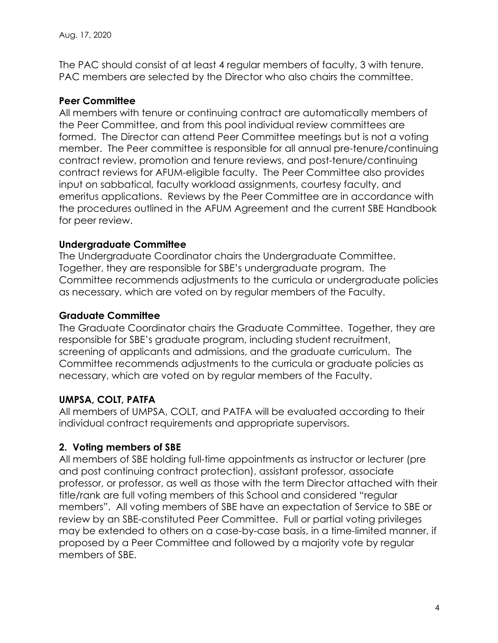The PAC should consist of at least 4 regular members of faculty, 3 with tenure. PAC members are selected by the Director who also chairs the committee.

### **Peer Committee**

All members with tenure or continuing contract are automatically members of the Peer Committee, and from this pool individual review committees are formed. The Director can attend Peer Committee meetings but is not a voting member. The Peer committee is responsible for all annual pre-tenure/continuing contract review, promotion and tenure reviews, and post-tenure/continuing contract reviews for AFUM-eligible faculty. The Peer Committee also provides input on sabbatical, faculty workload assignments, courtesy faculty, and emeritus applications. Reviews by the Peer Committee are in accordance with the procedures outlined in the AFUM Agreement and the current SBE Handbook for peer review.

# **Undergraduate Committee**

The Undergraduate Coordinator chairs the Undergraduate Committee. Together, they are responsible for SBE's undergraduate program. The Committee recommends adjustments to the curricula or undergraduate policies as necessary, which are voted on by regular members of the Faculty.

### **Graduate Committee**

The Graduate Coordinator chairs the Graduate Committee. Together, they are responsible for SBE's graduate program, including student recruitment, screening of applicants and admissions, and the graduate curriculum. The Committee recommends adjustments to the curricula or graduate policies as necessary, which are voted on by regular members of the Faculty.

# **UMPSA, COLT, PATFA**

All members of UMPSA, COLT, and PATFA will be evaluated according to their individual contract requirements and appropriate supervisors.

# **2. Voting members of SBE**

All members of SBE holding full-time appointments as instructor or lecturer (pre and post continuing contract protection), assistant professor, associate professor, or professor, as well as those with the term Director attached with their title/rank are full voting members of this School and considered "regular members". All voting members of SBE have an expectation of Service to SBE or review by an SBE-constituted Peer Committee. Full or partial voting privileges may be extended to others on a case-by-case basis, in a time-limited manner, if proposed by a Peer Committee and followed by a majority vote by regular members of SBE.